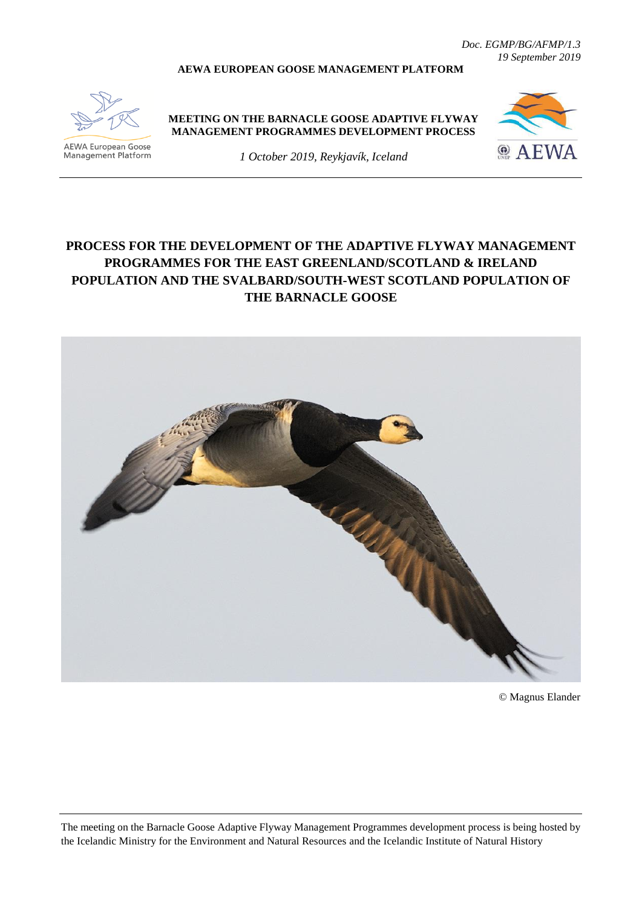*Doc. EGMP/BG/AFMP/1.3 19 September 2019*

#### **AEWA EUROPEAN GOOSE MANAGEMENT PLATFORM**



AEWA European Goose Management Platform **MEETING ON THE BARNACLE GOOSE ADAPTIVE FLYWAY MANAGEMENT PROGRAMMES DEVELOPMENT PROCESS**



*1 October 2019, Reykjavík, Iceland*

# **PROCESS FOR THE DEVELOPMENT OF THE ADAPTIVE FLYWAY MANAGEMENT PROGRAMMES FOR THE EAST GREENLAND/SCOTLAND & IRELAND POPULATION AND THE SVALBARD/SOUTH-WEST SCOTLAND POPULATION OF THE BARNACLE GOOSE**



© Magnus Elander

The meeting on the Barnacle Goose Adaptive Flyway Management Programmes development process is being hosted by the Icelandic Ministry for the Environment and Natural Resources and the Icelandic Institute of Natural History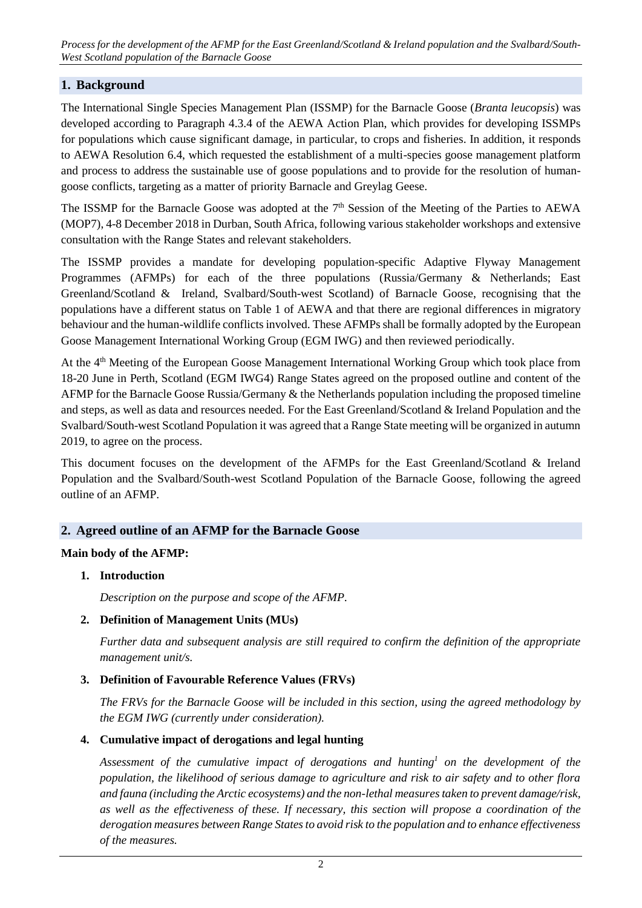*Process for the development of the AFMP for the East Greenland/Scotland & Ireland population and the Svalbard/South-West Scotland population of the Barnacle Goose*

### **1. Background**

The International Single Species Management Plan (ISSMP) for the Barnacle Goose (*Branta leucopsis*) was developed according to Paragraph 4.3.4 of the AEWA Action Plan, which provides for developing ISSMPs for populations which cause significant damage, in particular, to crops and fisheries. In addition, it responds to AEWA Resolution 6.4, which requested the establishment of a multi-species goose management platform and process to address the sustainable use of goose populations and to provide for the resolution of humangoose conflicts, targeting as a matter of priority Barnacle and Greylag Geese.

The ISSMP for the Barnacle Goose was adopted at the 7<sup>th</sup> Session of the Meeting of the Parties to AEWA (MOP7), 4-8 December 2018 in Durban, South Africa, following various stakeholder workshops and extensive consultation with the Range States and relevant stakeholders.

The ISSMP provides a mandate for developing population-specific Adaptive Flyway Management Programmes (AFMPs) for each of the three populations (Russia/Germany & Netherlands; East Greenland/Scotland & Ireland, Svalbard/South-west Scotland) of Barnacle Goose, recognising that the populations have a different status on Table 1 of AEWA and that there are regional differences in migratory behaviour and the human-wildlife conflicts involved. These AFMPs shall be formally adopted by the European Goose Management International Working Group (EGM IWG) and then reviewed periodically.

At the 4<sup>th</sup> Meeting of the European Goose Management International Working Group which took place from 18-20 June in Perth, Scotland (EGM IWG4) Range States agreed on the proposed outline and content of the AFMP for the Barnacle Goose Russia/Germany & the Netherlands population including the proposed timeline and steps, as well as data and resources needed. For the East Greenland/Scotland & Ireland Population and the Svalbard/South-west Scotland Population it was agreed that a Range State meeting will be organized in autumn 2019, to agree on the process.

This document focuses on the development of the AFMPs for the East Greenland/Scotland & Ireland Population and the Svalbard/South-west Scotland Population of the Barnacle Goose, following the agreed outline of an AFMP.

### **2. Agreed outline of an AFMP for the Barnacle Goose**

#### **Main body of the AFMP:**

**1. Introduction**

*Description on the purpose and scope of the AFMP.*

#### **2. Definition of Management Units (MUs)**

*Further data and subsequent analysis are still required to confirm the definition of the appropriate management unit/s.* 

### **3. Definition of Favourable Reference Values (FRVs)**

*The FRVs for the Barnacle Goose will be included in this section, using the agreed methodology by the EGM IWG (currently under consideration).* 

#### **4. Cumulative impact of derogations and legal hunting**

*Assessment of the cumulative impact of derogations and hunting<sup>1</sup> on the development of the population, the likelihood of serious damage to agriculture and risk to air safety and to other flora and fauna (including the Arctic ecosystems) and the non-lethal measures taken to prevent damage/risk, as well as the effectiveness of these. If necessary, this section will propose a coordination of the derogation measures between Range States to avoid risk to the population and to enhance effectiveness of the measures.*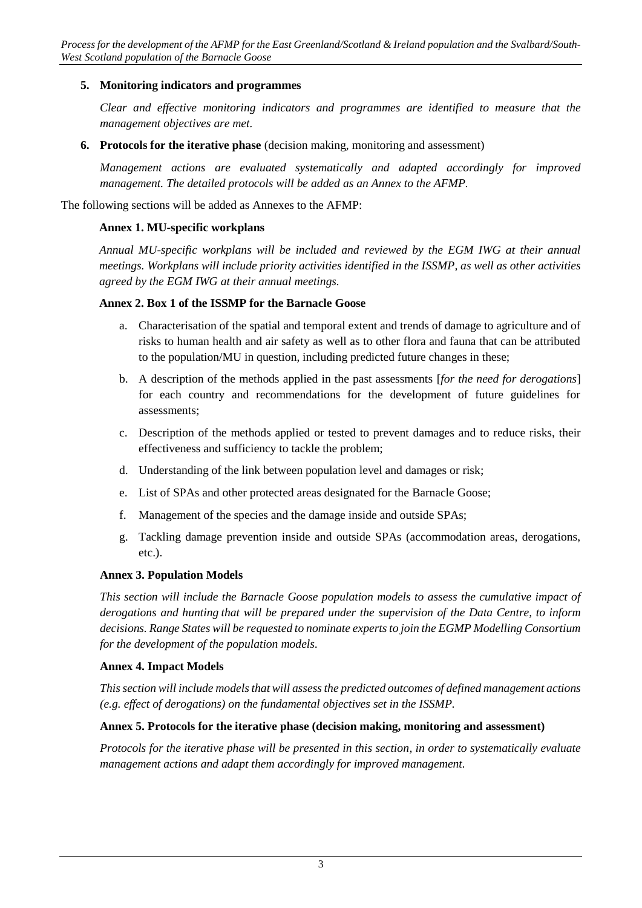# **5. Monitoring indicators and programmes**

*Clear and effective monitoring indicators and programmes are identified to measure that the management objectives are met.*

**6. Protocols for the iterative phase** (decision making, monitoring and assessment)

*Management actions are evaluated systematically and adapted accordingly for improved management. The detailed protocols will be added as an Annex to the AFMP.*

The following sections will be added as Annexes to the AFMP:

#### **Annex 1. MU-specific workplans**

*Annual MU-specific workplans will be included and reviewed by the EGM IWG at their annual meetings. Workplans will include priority activities identified in the ISSMP, as well as other activities agreed by the EGM IWG at their annual meetings.*

#### **Annex 2. Box 1 of the ISSMP for the Barnacle Goose**

- a. Characterisation of the spatial and temporal extent and trends of damage to agriculture and of risks to human health and air safety as well as to other flora and fauna that can be attributed to the population/MU in question, including predicted future changes in these;
- b. A description of the methods applied in the past assessments [*for the need for derogations*] for each country and recommendations for the development of future guidelines for assessments;
- c. Description of the methods applied or tested to prevent damages and to reduce risks, their effectiveness and sufficiency to tackle the problem;
- d. Understanding of the link between population level and damages or risk;
- e. List of SPAs and other protected areas designated for the Barnacle Goose;
- f. Management of the species and the damage inside and outside SPAs;
- g. Tackling damage prevention inside and outside SPAs (accommodation areas, derogations, etc.).

#### **Annex 3. Population Models**

*This section will include the Barnacle Goose population models to assess the cumulative impact of derogations and hunting that will be prepared under the supervision of the Data Centre, to inform decisions. Range States will be requested to nominate experts to join the EGMP Modelling Consortium for the development of the population models.* 

#### **Annex 4. Impact Models**

*This section will include models that will assess the predicted outcomes of defined management actions (e.g. effect of derogations) on the fundamental objectives set in the ISSMP.*

#### **Annex 5. Protocols for the iterative phase (decision making, monitoring and assessment)**

*Protocols for the iterative phase will be presented in this section, in order to systematically evaluate management actions and adapt them accordingly for improved management.*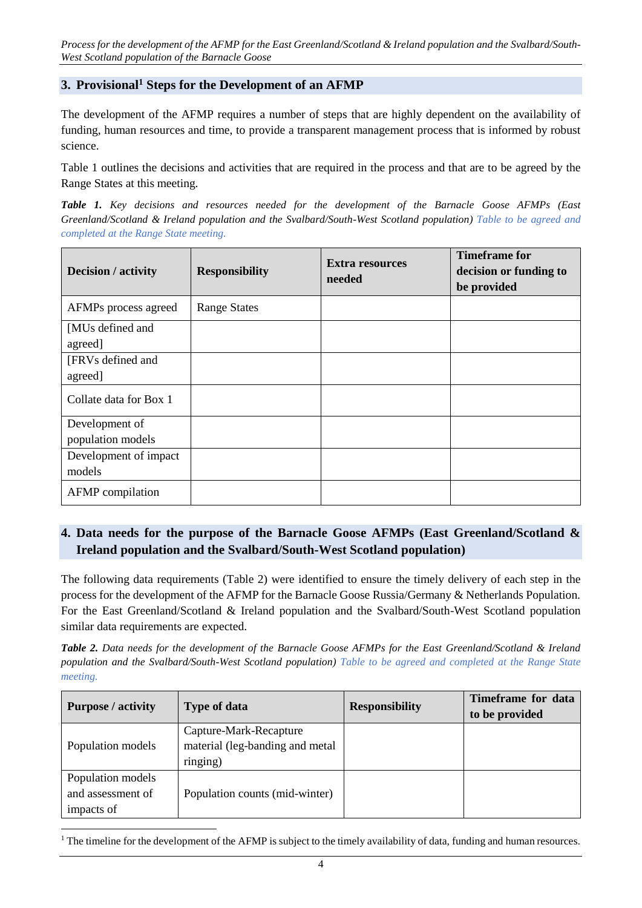*Process for the development of the AFMP for the East Greenland/Scotland & Ireland population and the Svalbard/South-West Scotland population of the Barnacle Goose*

### **3. Provisional<sup>1</sup> Steps for the Development of an AFMP**

The development of the AFMP requires a number of steps that are highly dependent on the availability of funding, human resources and time, to provide a transparent management process that is informed by robust science.

Table 1 outlines the decisions and activities that are required in the process and that are to be agreed by the Range States at this meeting.

*Table 1. Key decisions and resources needed for the development of the Barnacle Goose AFMPs (East Greenland/Scotland & Ireland population and the Svalbard/South-West Scotland population) Table to be agreed and completed at the Range State meeting.* 

| Decision / activity                 | <b>Responsibility</b> | <b>Extra resources</b><br>needed | <b>Timeframe for</b><br>decision or funding to<br>be provided |
|-------------------------------------|-----------------------|----------------------------------|---------------------------------------------------------------|
| AFMPs process agreed                | <b>Range States</b>   |                                  |                                                               |
| [MUs defined and<br>agreed]         |                       |                                  |                                                               |
| [FRVs defined and<br>agreed]        |                       |                                  |                                                               |
| Collate data for Box 1              |                       |                                  |                                                               |
| Development of<br>population models |                       |                                  |                                                               |
| Development of impact<br>models     |                       |                                  |                                                               |
| AFMP compilation                    |                       |                                  |                                                               |

# **4. Data needs for the purpose of the Barnacle Goose AFMPs (East Greenland/Scotland & Ireland population and the Svalbard/South-West Scotland population)**

The following data requirements (Table 2) were identified to ensure the timely delivery of each step in the process for the development of the AFMP for the Barnacle Goose Russia/Germany & Netherlands Population. For the East Greenland/Scotland & Ireland population and the Svalbard/South-West Scotland population similar data requirements are expected.

*Table 2. Data needs for the development of the Barnacle Goose AFMPs for the East Greenland/Scotland & Ireland population and the Svalbard/South-West Scotland population) Table to be agreed and completed at the Range State meeting.* 

| <b>Purpose</b> / activity                            | <b>Type of data</b>                                                   | <b>Responsibility</b> | Timeframe for data<br>to be provided |
|------------------------------------------------------|-----------------------------------------------------------------------|-----------------------|--------------------------------------|
| Population models                                    | Capture-Mark-Recapture<br>material (leg-banding and metal<br>ringing) |                       |                                      |
| Population models<br>and assessment of<br>impacts of | Population counts (mid-winter)                                        |                       |                                      |

<sup>&</sup>lt;sup>1</sup> The timeline for the development of the AFMP is subject to the timely availability of data, funding and human resources.

1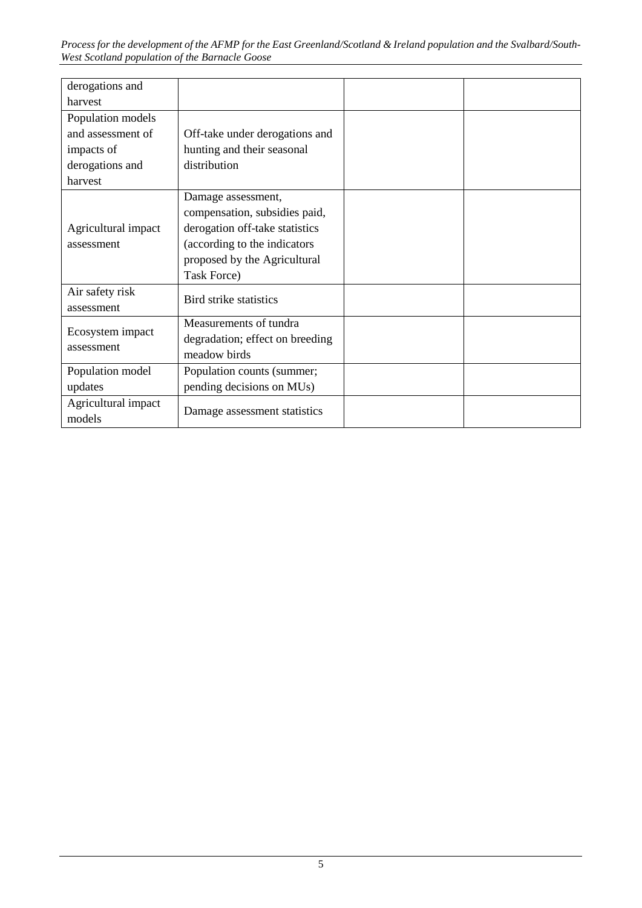*Process for the development of the AFMP for the East Greenland/Scotland & Ireland population and the Svalbard/South-West Scotland population of the Barnacle Goose*

| derogations and                   |                                                                                                                                                                      |  |
|-----------------------------------|----------------------------------------------------------------------------------------------------------------------------------------------------------------------|--|
| harvest                           |                                                                                                                                                                      |  |
| Population models                 |                                                                                                                                                                      |  |
| and assessment of                 | Off-take under derogations and                                                                                                                                       |  |
| impacts of                        | hunting and their seasonal                                                                                                                                           |  |
| derogations and                   | distribution                                                                                                                                                         |  |
| harvest                           |                                                                                                                                                                      |  |
| Agricultural impact<br>assessment | Damage assessment,<br>compensation, subsidies paid,<br>derogation off-take statistics<br>(according to the indicators<br>proposed by the Agricultural<br>Task Force) |  |
| Air safety risk<br>assessment     | Bird strike statistics                                                                                                                                               |  |
| Ecosystem impact<br>assessment    | Measurements of tundra<br>degradation; effect on breeding<br>meadow birds                                                                                            |  |
| Population model                  | Population counts (summer;                                                                                                                                           |  |
| updates                           | pending decisions on MUs)                                                                                                                                            |  |
| Agricultural impact<br>models     | Damage assessment statistics                                                                                                                                         |  |